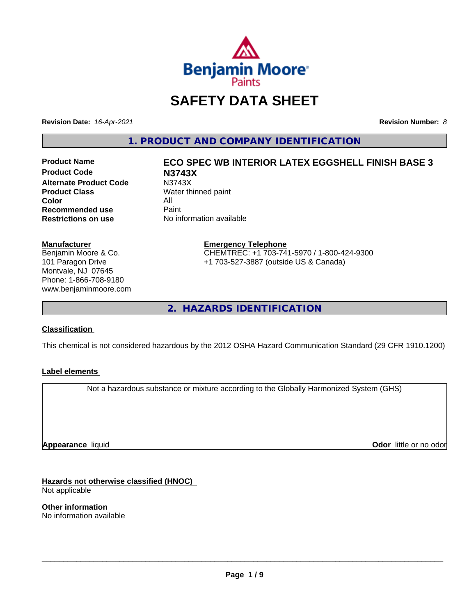

# **SAFETY DATA SHEET**

**Revision Date:** *16-Apr-2021* **Revision Number:** *8*

**1. PRODUCT AND COMPANY IDENTIFICATION**

**Product Code N3743X Alternate Product Code M3743X**<br>**Product Class Mater th** Water th **Color** All<br> **Recommended use** Paint **Recommended use**<br>Restrictions on use

# **Product Name ECO SPEC WB INTERIOR LATEX EGGSHELL FINISH BASE 3**

**Water thinned paint No information available** 

#### **Manufacturer**

Benjamin Moore & Co. 101 Paragon Drive Montvale, NJ 07645 Phone: 1-866-708-9180 www.benjaminmoore.com

#### **Emergency Telephone** CHEMTREC: +1 703-741-5970 / 1-800-424-9300 +1 703-527-3887 (outside US & Canada)

**2. HAZARDS IDENTIFICATION**

#### **Classification**

This chemical is not considered hazardous by the 2012 OSHA Hazard Communication Standard (29 CFR 1910.1200)

#### **Label elements**

Not a hazardous substance or mixture according to the Globally Harmonized System (GHS)

**Appearance** liquid

**Odor** little or no odor

**Hazards not otherwise classified (HNOC)** Not applicable

**Other information** No information available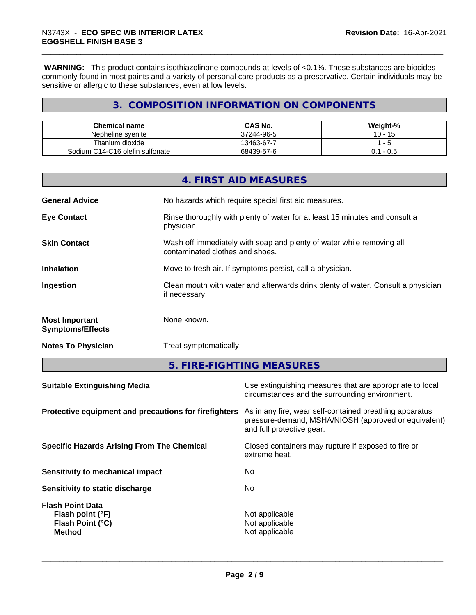**WARNING:** This product contains isothiazolinone compounds at levels of <0.1%. These substances are biocides commonly found in most paints and a variety of personal care products as a preservative. Certain individuals may be sensitive or allergic to these substances, even at low levels.

# **3. COMPOSITION INFORMATION ON COMPONENTS**

| <b>Chemical name</b>            | <b>CAS No.</b> | Weight-%             |
|---------------------------------|----------------|----------------------|
| Nepheline svenite               | 37244-96-5     | 10<br>$\overline{4}$ |
| Titanium dioxide                | 13463-67-7     |                      |
| Sodium C14-C16 olefin sulfonate | 68439-57-6     | - U.5<br>υ.          |

|                                                  | 4. FIRST AID MEASURES                                                                                    |
|--------------------------------------------------|----------------------------------------------------------------------------------------------------------|
| <b>General Advice</b>                            | No hazards which require special first aid measures.                                                     |
| <b>Eye Contact</b>                               | Rinse thoroughly with plenty of water for at least 15 minutes and consult a<br>physician.                |
| <b>Skin Contact</b>                              | Wash off immediately with soap and plenty of water while removing all<br>contaminated clothes and shoes. |
| <b>Inhalation</b>                                | Move to fresh air. If symptoms persist, call a physician.                                                |
| Ingestion                                        | Clean mouth with water and afterwards drink plenty of water. Consult a physician<br>if necessary.        |
| <b>Most Important</b><br><b>Symptoms/Effects</b> | None known.                                                                                              |
| <b>Notes To Physician</b>                        | Treat symptomatically.                                                                                   |
|                                                  |                                                                                                          |

**5. FIRE-FIGHTING MEASURES**

| <b>Suitable Extinguishing Media</b>                                              | Use extinguishing measures that are appropriate to local<br>circumstances and the surrounding environment.                                   |
|----------------------------------------------------------------------------------|----------------------------------------------------------------------------------------------------------------------------------------------|
| Protective equipment and precautions for firefighters                            | As in any fire, wear self-contained breathing apparatus<br>pressure-demand, MSHA/NIOSH (approved or equivalent)<br>and full protective gear. |
| <b>Specific Hazards Arising From The Chemical</b>                                | Closed containers may rupture if exposed to fire or<br>extreme heat.                                                                         |
| Sensitivity to mechanical impact                                                 | No                                                                                                                                           |
| Sensitivity to static discharge                                                  | No.                                                                                                                                          |
| <b>Flash Point Data</b><br>Flash point (°F)<br>Flash Point (°C)<br><b>Method</b> | Not applicable<br>Not applicable<br>Not applicable                                                                                           |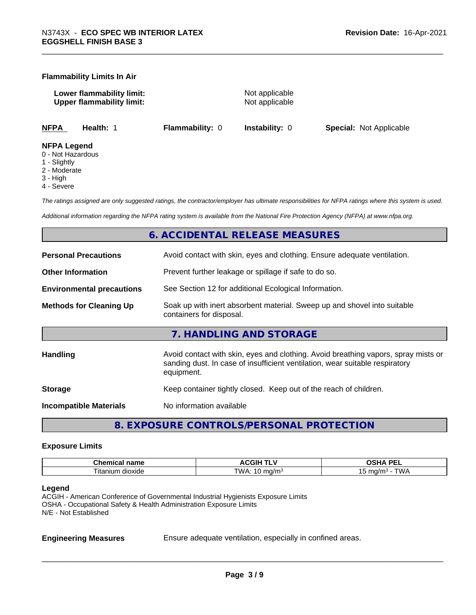#### **Flammability Limits In Air**

**Lower flammability limit:** Not applicable **Upper flammability limit:** Not applicable

**NFPA Health:** 1 **Flammability:** 0 **Instability:** 0 **Special:** Not Applicable

#### **NFPA Legend**

- 0 Not Hazardous
- 1 Slightly
- 2 Moderate
- 3 High
- 4 Severe

*The ratings assigned are only suggested ratings, the contractor/employer has ultimate responsibilities for NFPA ratings where this system is used.*

*Additional information regarding the NFPA rating system is available from the National Fire Protection Agency (NFPA) at www.nfpa.org.*

# **6. ACCIDENTAL RELEASE MEASURES**

| <b>Personal Precautions</b>      | Avoid contact with skin, eyes and clothing. Ensure adequate ventilation.                                                                                                         |
|----------------------------------|----------------------------------------------------------------------------------------------------------------------------------------------------------------------------------|
| <b>Other Information</b>         | Prevent further leakage or spillage if safe to do so.                                                                                                                            |
| <b>Environmental precautions</b> | See Section 12 for additional Ecological Information.                                                                                                                            |
| <b>Methods for Cleaning Up</b>   | Soak up with inert absorbent material. Sweep up and shovel into suitable<br>containers for disposal.                                                                             |
|                                  | 7. HANDLING AND STORAGE                                                                                                                                                          |
| Handling                         | Avoid contact with skin, eyes and clothing. Avoid breathing vapors, spray mists or<br>sanding dust. In case of insufficient ventilation, wear suitable respiratory<br>equipment. |
| <b>Storage</b>                   | Keep container tightly closed. Keep out of the reach of children.                                                                                                                |
| <b>Incompatible Materials</b>    | No information available                                                                                                                                                         |
|                                  |                                                                                                                                                                                  |

**8. EXPOSURE CONTROLS/PERSONAL PROTECTION**

#### **Exposure Limits**

| Chemic<br>name<br>.  | <b>ACGIH <sup>-</sup></b><br>.          | <b>DEI</b><br>n<br>--<br>-- |
|----------------------|-----------------------------------------|-----------------------------|
| l itanium<br>dioxide | TWA.<br>ma/m<br>$\cdot$ in m<br>$\cdot$ | ma/m∘<br><i>UN ¤</i><br>~   |

#### **Legend**

ACGIH - American Conference of Governmental Industrial Hygienists Exposure Limits OSHA - Occupational Safety & Health Administration Exposure Limits N/E - Not Established

**Engineering Measures** Ensure adequate ventilation, especially in confined areas.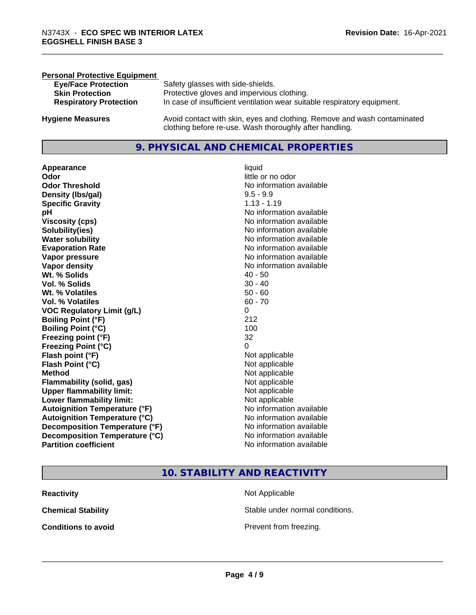| <b>Personal Protective Equipment</b> |                                                                                                                                     |
|--------------------------------------|-------------------------------------------------------------------------------------------------------------------------------------|
| <b>Eye/Face Protection</b>           | Safety glasses with side-shields.                                                                                                   |
| <b>Skin Protection</b>               | Protective gloves and impervious clothing.                                                                                          |
| <b>Respiratory Protection</b>        | In case of insufficient ventilation wear suitable respiratory equipment.                                                            |
| <b>Hygiene Measures</b>              | Avoid contact with skin, eyes and clothing. Remove and wash contaminated<br>clothing before re-use. Wash thoroughly after handling. |

# **9. PHYSICAL AND CHEMICAL PROPERTIES**

**Appearance** liquid **Odor** little or no odor **Odor Threshold** No information available **Density (lbs/gal)** 9.5 - 9.9 **Specific Gravity** 1.13 - 1.19 **pH pH**  $\blacksquare$ **Viscosity (cps)** No information available<br> **Solubility(ies)** No information available<br>
No information available **Solubility(ies)**<br> **No information available**<br> **Water solubility**<br> **Water solubility Evaporation Rate No information available No information available Vapor pressure** No information available **No information** available **Vapor density**<br> **Vapor density**<br> **With % Solids**<br>
With % Solids
2019 Wt. % Solids **Vol. % Solids** 30 - 40 **Wt. % Volatiles** 50 - 60 **Vol. % Volatiles** 60 - 70 **VOC Regulatory Limit (g/L)** 0 **Boiling Point (°F)** 212 **Boiling Point (°C)** 100 **Freezing point (°F)** 32 **Freezing Point (°C)** 0 **Flash point (°F)**<br> **Flash Point (°C)**<br> **Flash Point (°C)**<br> **C Flash Point (°C) Method** Not applicable Not applicable **Flammability (solid, gas)**<br> **Upper flammability limit:**<br>
Upper flammability limit:<br>  $\begin{array}{ccc}\n\bullet & \bullet & \bullet \\
\bullet & \bullet & \bullet\n\end{array}$  Not applicable **Upper flammability limit: Lower flammability limit:** Not applicable **Autoignition Temperature (°F)** No information available **Autoignition Temperature (°C)** No information available **Decomposition Temperature (°F)** No information available<br> **Decomposition Temperature (°C)** No information available **Decomposition Temperature (°C)**<br>Partition coefficient

**No information available No information available** 

# **10. STABILITY AND REACTIVITY**

| Reactivity          | Not Applicable                  |
|---------------------|---------------------------------|
| Chemical Stability  | Stable under normal conditions. |
| Conditions to avoid | Prevent from freezing.          |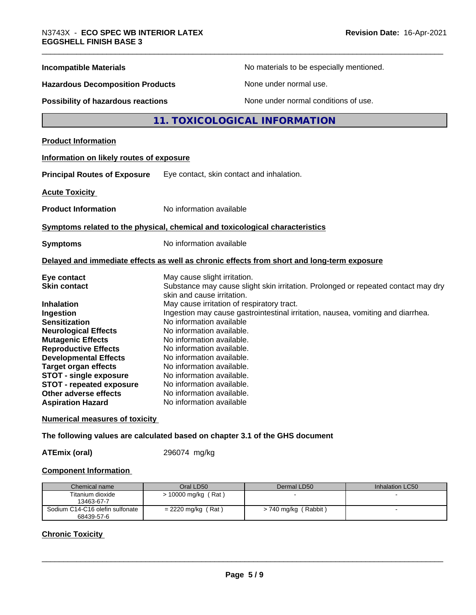| <b>Incompatible Materials</b>                                                                                                                                                                                                                                                                                                                                                  | No materials to be especially mentioned.                                                                                                                                                                                                                                                                                                                                                                                                                                                                                                                                         |
|--------------------------------------------------------------------------------------------------------------------------------------------------------------------------------------------------------------------------------------------------------------------------------------------------------------------------------------------------------------------------------|----------------------------------------------------------------------------------------------------------------------------------------------------------------------------------------------------------------------------------------------------------------------------------------------------------------------------------------------------------------------------------------------------------------------------------------------------------------------------------------------------------------------------------------------------------------------------------|
| <b>Hazardous Decomposition Products</b>                                                                                                                                                                                                                                                                                                                                        | None under normal use.                                                                                                                                                                                                                                                                                                                                                                                                                                                                                                                                                           |
| Possibility of hazardous reactions                                                                                                                                                                                                                                                                                                                                             | None under normal conditions of use.                                                                                                                                                                                                                                                                                                                                                                                                                                                                                                                                             |
|                                                                                                                                                                                                                                                                                                                                                                                | 11. TOXICOLOGICAL INFORMATION                                                                                                                                                                                                                                                                                                                                                                                                                                                                                                                                                    |
| <b>Product Information</b>                                                                                                                                                                                                                                                                                                                                                     |                                                                                                                                                                                                                                                                                                                                                                                                                                                                                                                                                                                  |
| Information on likely routes of exposure                                                                                                                                                                                                                                                                                                                                       |                                                                                                                                                                                                                                                                                                                                                                                                                                                                                                                                                                                  |
| <b>Principal Routes of Exposure</b>                                                                                                                                                                                                                                                                                                                                            | Eye contact, skin contact and inhalation.                                                                                                                                                                                                                                                                                                                                                                                                                                                                                                                                        |
| <b>Acute Toxicity</b>                                                                                                                                                                                                                                                                                                                                                          |                                                                                                                                                                                                                                                                                                                                                                                                                                                                                                                                                                                  |
| <b>Product Information</b>                                                                                                                                                                                                                                                                                                                                                     | No information available                                                                                                                                                                                                                                                                                                                                                                                                                                                                                                                                                         |
|                                                                                                                                                                                                                                                                                                                                                                                | Symptoms related to the physical, chemical and toxicological characteristics                                                                                                                                                                                                                                                                                                                                                                                                                                                                                                     |
| <b>Symptoms</b>                                                                                                                                                                                                                                                                                                                                                                | No information available                                                                                                                                                                                                                                                                                                                                                                                                                                                                                                                                                         |
|                                                                                                                                                                                                                                                                                                                                                                                | Delayed and immediate effects as well as chronic effects from short and long-term exposure                                                                                                                                                                                                                                                                                                                                                                                                                                                                                       |
| Eye contact<br><b>Skin contact</b><br><b>Inhalation</b><br>Ingestion<br><b>Sensitization</b><br><b>Neurological Effects</b><br><b>Mutagenic Effects</b><br><b>Reproductive Effects</b><br><b>Developmental Effects</b><br><b>Target organ effects</b><br><b>STOT - single exposure</b><br><b>STOT - repeated exposure</b><br>Other adverse effects<br><b>Aspiration Hazard</b> | May cause slight irritation.<br>Substance may cause slight skin irritation. Prolonged or repeated contact may dry<br>skin and cause irritation.<br>May cause irritation of respiratory tract.<br>Ingestion may cause gastrointestinal irritation, nausea, vomiting and diarrhea.<br>No information available<br>No information available.<br>No information available.<br>No information available.<br>No information available.<br>No information available.<br>No information available.<br>No information available.<br>No information available.<br>No information available |
| <b>Numerical measures of toxicity</b>                                                                                                                                                                                                                                                                                                                                          |                                                                                                                                                                                                                                                                                                                                                                                                                                                                                                                                                                                  |
|                                                                                                                                                                                                                                                                                                                                                                                |                                                                                                                                                                                                                                                                                                                                                                                                                                                                                                                                                                                  |

**The following values are calculated based on chapter 3.1 of the GHS document**

**ATEmix (oral)** 296074 mg/kg

# **Component Information**

| Chemical name                                 | Oral LD50            | Dermal LD50          | Inhalation LC50 |
|-----------------------------------------------|----------------------|----------------------|-----------------|
| Titanium dioxide<br>13463-67-7                | > 10000 mg/kg (Rat)  |                      |                 |
| Sodium C14-C16 olefin sulfonate<br>68439-57-6 | $= 2220$ mg/kg (Rat) | > 740 mg/kg (Rabbit) |                 |

# **Chronic Toxicity**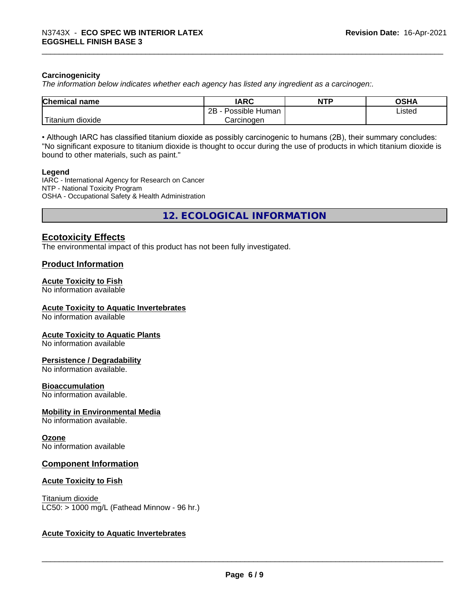#### **Carcinogenicity**

*The information below indicateswhether each agency has listed any ingredient as a carcinogen:.*

| <b>Chemical</b><br>name              | <b>IARC</b>                    | <b>NTP</b> | <b>OCUA</b><br>∪ורט |
|--------------------------------------|--------------------------------|------------|---------------------|
|                                      | . .<br>2B<br>Human<br>Possible |            | ∟isted<br>.         |
| .<br><br>, dioxide<br><b>itanium</b> | Carcinoɑen                     |            |                     |

• Although IARC has classified titanium dioxide as possibly carcinogenic to humans (2B), their summary concludes: "No significant exposure to titanium dioxide is thought to occur during the use of products in which titanium dioxide is bound to other materials, such as paint."

#### **Legend**

IARC - International Agency for Research on Cancer NTP - National Toxicity Program OSHA - Occupational Safety & Health Administration

**12. ECOLOGICAL INFORMATION**

# **Ecotoxicity Effects**

The environmental impact of this product has not been fully investigated.

#### **Product Information**

# **Acute Toxicity to Fish**

No information available

#### **Acute Toxicity to Aquatic Invertebrates**

No information available

#### **Acute Toxicity to Aquatic Plants**

No information available

#### **Persistence / Degradability**

No information available.

#### **Bioaccumulation**

No information available.

#### **Mobility in Environmental Media**

No information available.

#### **Ozone**

No information available

#### **Component Information**

#### **Acute Toxicity to Fish**

Titanium dioxide  $LC50:$  > 1000 mg/L (Fathead Minnow - 96 hr.)

#### **Acute Toxicity to Aquatic Invertebrates**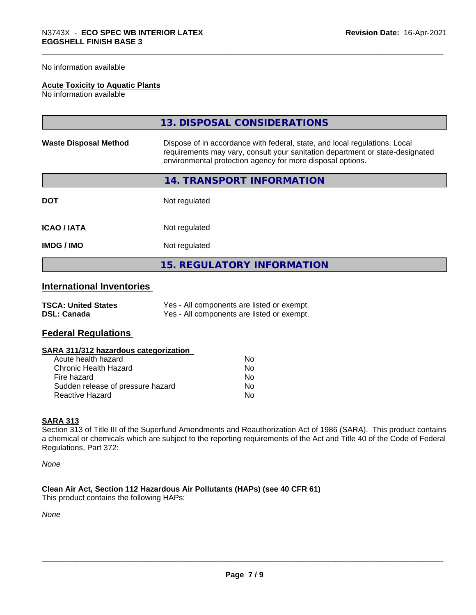No information available

#### **Acute Toxicity to Aquatic Plants**

No information available

|                              | 13. DISPOSAL CONSIDERATIONS                                                                                                                                                                                               |
|------------------------------|---------------------------------------------------------------------------------------------------------------------------------------------------------------------------------------------------------------------------|
| <b>Waste Disposal Method</b> | Dispose of in accordance with federal, state, and local regulations. Local<br>requirements may vary, consult your sanitation department or state-designated<br>environmental protection agency for more disposal options. |
|                              | 14. TRANSPORT INFORMATION                                                                                                                                                                                                 |
| <b>DOT</b>                   | Not regulated                                                                                                                                                                                                             |
| <b>ICAO/IATA</b>             | Not regulated                                                                                                                                                                                                             |
| <b>IMDG / IMO</b>            | Not regulated                                                                                                                                                                                                             |
|                              | <b>15. REGULATORY INFORMATION</b>                                                                                                                                                                                         |

# **International Inventories**

| <b>TSCA: United States</b> | Yes - All components are listed or exempt. |
|----------------------------|--------------------------------------------|
| <b>DSL: Canada</b>         | Yes - All components are listed or exempt. |

# **Federal Regulations**

| SARA 311/312 hazardous categorization |  |
|---------------------------------------|--|
|---------------------------------------|--|

| Acute health hazard               | Nο |
|-----------------------------------|----|
| Chronic Health Hazard             | Nο |
| Fire hazard                       | N٥ |
| Sudden release of pressure hazard | Nο |
| Reactive Hazard                   | N٥ |

#### **SARA 313**

Section 313 of Title III of the Superfund Amendments and Reauthorization Act of 1986 (SARA). This product contains a chemical or chemicals which are subject to the reporting requirements of the Act and Title 40 of the Code of Federal Regulations, Part 372:

*None*

**Clean Air Act,Section 112 Hazardous Air Pollutants (HAPs) (see 40 CFR 61)** This product contains the following HAPs:

*None*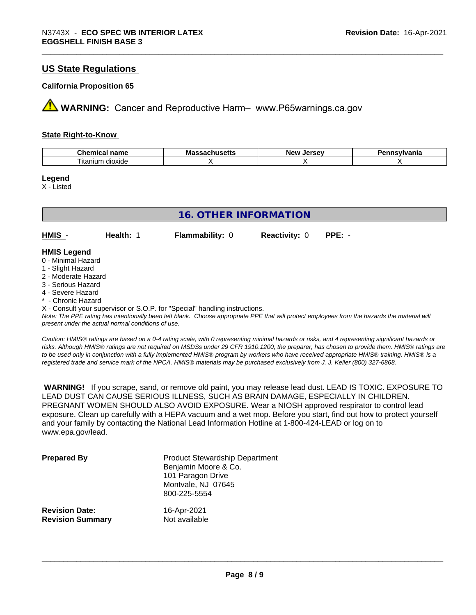# **US State Regulations**

#### **California Proposition 65**

**AVIMARNING:** Cancer and Reproductive Harm– www.P65warnings.ca.gov

#### **State Right-to-Know**

| Chemical                 | ма      | <i><u>Inrenu</u></i> | vlvania |
|--------------------------|---------|----------------------|---------|
| <b>nome</b>              | в втори | ימוח                 |         |
| name                     | nuscus  | <b>Jerse</b>         |         |
| --<br>dioxide<br>itaniun |         |                      |         |

#### **Legend**

X - Listed

| <b>16. OTHER INFORMATION</b>            |           |                        |                      |          |  |  |
|-----------------------------------------|-----------|------------------------|----------------------|----------|--|--|
| HMIS -                                  | Health: 1 | <b>Flammability: 0</b> | <b>Reactivity: 0</b> | $PPE: -$ |  |  |
| <b>HMIS Legend</b>                      |           |                        |                      |          |  |  |
| 0 - Minimal Hazard<br>1 - Slight Hazard |           |                        |                      |          |  |  |
| 2 - Moderate Hazard                     |           |                        |                      |          |  |  |
| 3 - Serious Hazard                      |           |                        |                      |          |  |  |
| 4 - Severe Hazard                       |           |                        |                      |          |  |  |
| * - Chronic Hazard                      |           |                        |                      |          |  |  |

X - Consult your supervisor or S.O.P. for "Special" handling instructions.

*Note: The PPE rating has intentionally been left blank. Choose appropriate PPE that will protect employees from the hazards the material will present under the actual normal conditions of use.*

*Caution: HMISÒ ratings are based on a 0-4 rating scale, with 0 representing minimal hazards or risks, and 4 representing significant hazards or risks. Although HMISÒ ratings are not required on MSDSs under 29 CFR 1910.1200, the preparer, has chosen to provide them. HMISÒ ratings are to be used only in conjunction with a fully implemented HMISÒ program by workers who have received appropriate HMISÒ training. HMISÒ is a registered trade and service mark of the NPCA. HMISÒ materials may be purchased exclusively from J. J. Keller (800) 327-6868.*

 **WARNING!** If you scrape, sand, or remove old paint, you may release lead dust. LEAD IS TOXIC. EXPOSURE TO LEAD DUST CAN CAUSE SERIOUS ILLNESS, SUCH AS BRAIN DAMAGE, ESPECIALLY IN CHILDREN. PREGNANT WOMEN SHOULD ALSO AVOID EXPOSURE.Wear a NIOSH approved respirator to control lead exposure. Clean up carefully with a HEPA vacuum and a wet mop. Before you start, find out how to protect yourself and your family by contacting the National Lead Information Hotline at 1-800-424-LEAD or log on to www.epa.gov/lead.

| <b>Prepared By</b>                               | <b>Product Stewardship Department</b><br>Benjamin Moore & Co.<br>101 Paragon Drive<br>Montvale, NJ 07645<br>800-225-5554 |  |
|--------------------------------------------------|--------------------------------------------------------------------------------------------------------------------------|--|
| <b>Revision Date:</b><br><b>Revision Summary</b> | 16-Apr-2021<br>Not available                                                                                             |  |